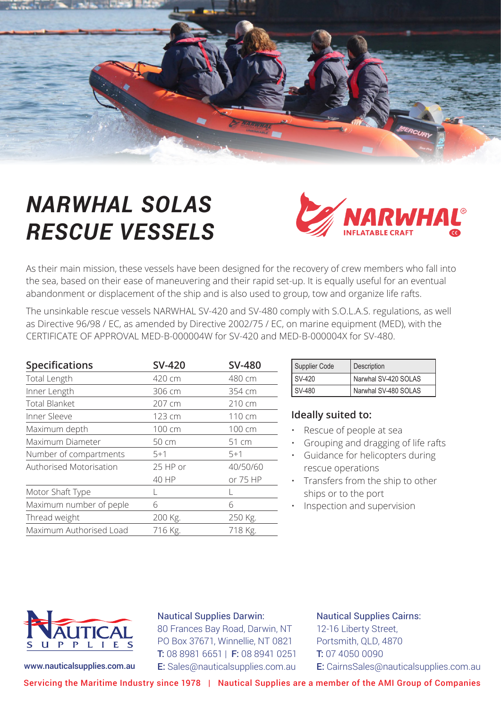

# *NARWHAL SOLAS RESCUE VESSELS*



As their main mission, these vessels have been designed for the recovery of crew members who fall into the sea, based on their ease of maneuvering and their rapid set-up. It is equally useful for an eventual abandonment or displacement of the ship and is also used to group, tow and organize life rafts.

The unsinkable rescue vessels NARWHAL SV-420 and SV-480 comply with S.O.L.A.S. regulations, as well as Directive 96/98 / EC, as amended by Directive 2002/75 / EC, on marine equipment (MED), with the CERTIFICATE OF APPROVAL MED-B-000004W for SV-420 and MED-B-000004X for SV-480.

| <b>Specifications</b>   | <b>SV-420</b> | <b>SV-480</b> |
|-------------------------|---------------|---------------|
| Total Length            | 420 cm        | 480 cm        |
| Inner Length            | 306 cm        | 354 cm        |
| <b>Total Blanket</b>    | 207 cm        | 210 cm        |
| Inner Sleeve            | 123 cm        | 110 cm        |
| Maximum depth           | 100 cm        | 100 cm        |
| Maximum Diameter        | 50 cm         | 51 cm         |
| Number of compartments  | $5+1$         | $5 + 1$       |
| Authorised Motorisation | 25 HP or      | 40/50/60      |
|                         | 40 HP         | or 75 HP      |
| Motor Shaft Type        |               |               |
| Maximum number of peple | 6             | 6             |
| Thread weight           | 200 Kg.       | 250 Kg.       |
| Maximum Authorised Load | 716 Kg.       | 718 Kg.       |

| Supplier Code | Description          |  |
|---------------|----------------------|--|
| SV-420        | Narwhal SV-420 SOLAS |  |
| SV-480        | Narwhal SV-480 SOLAS |  |

### **Ideally suited to:**

- Rescue of people at sea
- Grouping and dragging of life rafts
- Guidance for helicopters during rescue operations
- Transfers from the ship to other ships or to the port
- Inspection and supervision



#### Nautical Supplies Darwin:

80 Frances Bay Road, Darwin, NT PO Box 37671, Winnellie, NT 0821 T: 08 8981 6651 | F: 08 8941 0251 www.nauticalsupplies.com.au E: Sales@nauticalsupplies.com.au

Nautical Supplies Cairns: 12-16 Liberty Street, Portsmith, QLD, 4870 T: 07 4050 0090 E: CairnsSales@nauticalsupplies.com.au

Servicing the Maritime Industry since 1978 | Nautical Supplies are a member of the AMI Group of Companies